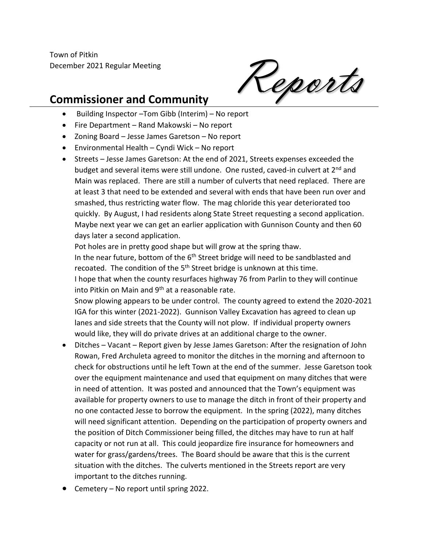Town of Pitkin December 2021 Regular Meeting

Reports

## **Commissioner and Community**

- Building Inspector –Tom Gibb (Interim) No report
- Fire Department Rand Makowski No report
- Zoning Board Jesse James Garetson No report
- Environmental Health Cyndi Wick No report
- Streets Jesse James Garetson: At the end of 2021, Streets expenses exceeded the budget and several items were still undone. One rusted, caved-in culvert at 2<sup>nd</sup> and Main was replaced. There are still a number of culverts that need replaced. There are at least 3 that need to be extended and several with ends that have been run over and smashed, thus restricting water flow. The mag chloride this year deteriorated too quickly. By August, I had residents along State Street requesting a second application. Maybe next year we can get an earlier application with Gunnison County and then 60 days later a second application.

Pot holes are in pretty good shape but will grow at the spring thaw. In the near future, bottom of the 6<sup>th</sup> Street bridge will need to be sandblasted and recoated. The condition of the 5<sup>th</sup> Street bridge is unknown at this time. I hope that when the county resurfaces highway 76 from Parlin to they will continue into Pitkin on Main and 9<sup>th</sup> at a reasonable rate.

Snow plowing appears to be under control. The county agreed to extend the 2020-2021 IGA for this winter (2021-2022). Gunnison Valley Excavation has agreed to clean up lanes and side streets that the County will not plow. If individual property owners would like, they will do private drives at an additional charge to the owner.

- Ditches Vacant Report given by Jesse James Garetson: After the resignation of John Rowan, Fred Archuleta agreed to monitor the ditches in the morning and afternoon to check for obstructions until he left Town at the end of the summer. Jesse Garetson took over the equipment maintenance and used that equipment on many ditches that were in need of attention. It was posted and announced that the Town's equipment was available for property owners to use to manage the ditch in front of their property and no one contacted Jesse to borrow the equipment. In the spring (2022), many ditches will need significant attention. Depending on the participation of property owners and the position of Ditch Commissioner being filled, the ditches may have to run at half capacity or not run at all. This could jeopardize fire insurance for homeowners and water for grass/gardens/trees. The Board should be aware that this is the current situation with the ditches. The culverts mentioned in the Streets report are very important to the ditches running.
- Cemetery No report until spring 2022.